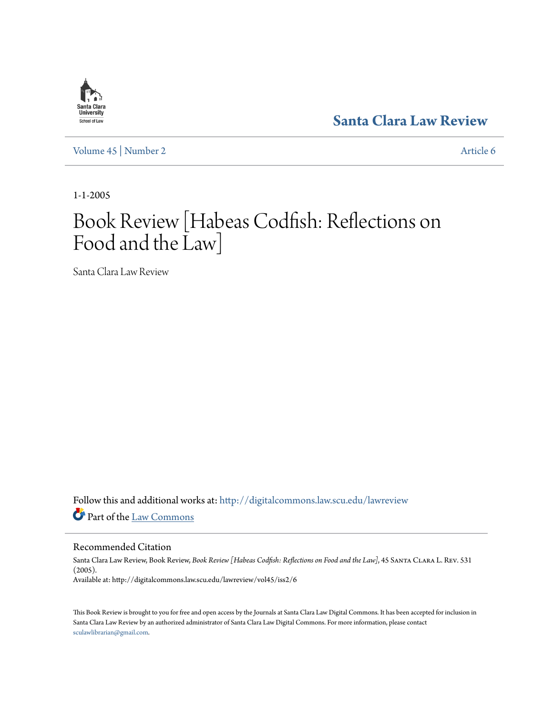# **[Santa Clara Law Review](http://digitalcommons.law.scu.edu/lawreview?utm_source=digitalcommons.law.scu.edu%2Flawreview%2Fvol45%2Fiss2%2F6&utm_medium=PDF&utm_campaign=PDFCoverPages)**

[Volume 45](http://digitalcommons.law.scu.edu/lawreview/vol45?utm_source=digitalcommons.law.scu.edu%2Flawreview%2Fvol45%2Fiss2%2F6&utm_medium=PDF&utm_campaign=PDFCoverPages) | [Number 2](http://digitalcommons.law.scu.edu/lawreview/vol45/iss2?utm_source=digitalcommons.law.scu.edu%2Flawreview%2Fvol45%2Fiss2%2F6&utm_medium=PDF&utm_campaign=PDFCoverPages) [Article 6](http://digitalcommons.law.scu.edu/lawreview/vol45/iss2/6?utm_source=digitalcommons.law.scu.edu%2Flawreview%2Fvol45%2Fiss2%2F6&utm_medium=PDF&utm_campaign=PDFCoverPages)

1-1-2005

# Book Review [Habeas Codfish: Reflections on Food and the Law]

Santa Clara Law Review

Follow this and additional works at: [http://digitalcommons.law.scu.edu/lawreview](http://digitalcommons.law.scu.edu/lawreview?utm_source=digitalcommons.law.scu.edu%2Flawreview%2Fvol45%2Fiss2%2F6&utm_medium=PDF&utm_campaign=PDFCoverPages) Part of the [Law Commons](http://network.bepress.com/hgg/discipline/578?utm_source=digitalcommons.law.scu.edu%2Flawreview%2Fvol45%2Fiss2%2F6&utm_medium=PDF&utm_campaign=PDFCoverPages)

Recommended Citation

Santa Clara Law Review, Book Review, *Book Review [Habeas Codfish: Reflections on Food and the Law]*, 45 Santa Clara L. Rev. 531 (2005). Available at: http://digitalcommons.law.scu.edu/lawreview/vol45/iss2/6

This Book Review is brought to you for free and open access by the Journals at Santa Clara Law Digital Commons. It has been accepted for inclusion in Santa Clara Law Review by an authorized administrator of Santa Clara Law Digital Commons. For more information, please contact [sculawlibrarian@gmail.com](mailto:sculawlibrarian@gmail.com).

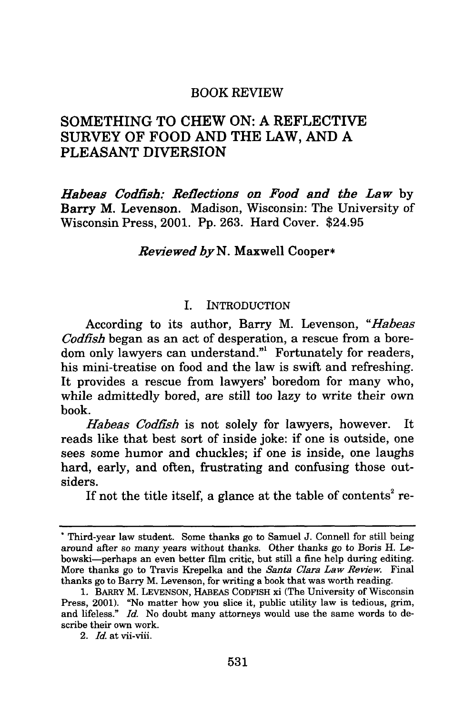# BOOK REVIEW

# SOMETHING TO CHEW ON: A REFLECTIVE SURVEY OF FOOD AND THE LAW, AND A PLEASANT DIVERSION

*Habeas Codfish: Reflections on Food and the Law* **by** Barry M. Levenson. Madison, Wisconsin: The University of Wisconsin Press, 2001. **Pp. 263.** Hard Cover. \$24.95

### *Reviewed by N.* Maxwell Cooper\*

#### **I.** INTRODUCTION

According to its author, Barry M. Levenson, *"Habeas Codfish* began as an act of desperation, a rescue from a boredom only lawyers can understand."' Fortunately for readers, his mini-treatise on food and the law is swift and refreshing. It provides a rescue from lawyers' boredom for many who, while admittedly bored, are still too lazy to write their own book.

*Habeas Codfish* is not solely for lawyers, however. It reads like that best sort of inside joke: if one is outside, one sees some humor and chuckles; if one is inside, one laughs hard, early, and often, frustrating and confusing those outsiders.

If not the title itself, a glance at the table of contents<sup>2</sup> re-

Third-year law student. Some thanks go to Samuel **J.** Connell for still being around after so many years without thanks. Other thanks go to Boris H. Lebowski-perhaps an even better film critic, but still a fine help during editing. More thanks go to Travis Krepelka and the *Santa Clara Law Review.* Final thanks go to Barry M. Levenson, for writing a book that was worth reading.

**<sup>1.</sup>** BARRY M. **LEVENSON,** HABEAS CODFISH xi (The University of Wisconsin Press, 2001). "No matter how you slice it, public utility law is tedious, grim, and lifeless." *Id.* No doubt many attorneys would use the same words to describe their own work.

<sup>2.</sup> *Id.* at vii-viii.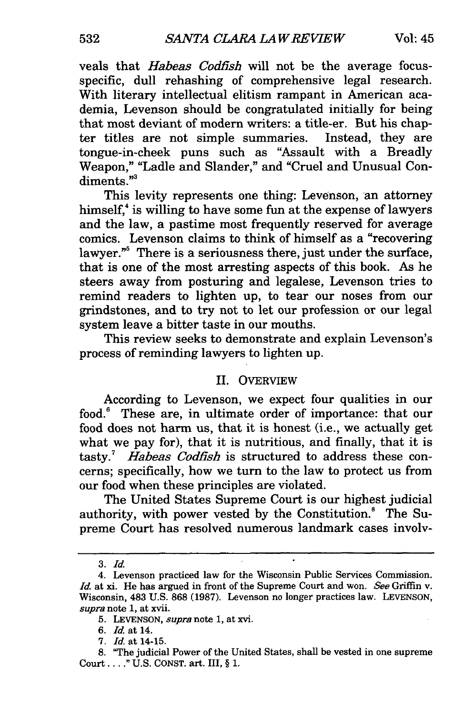veals that *Habeas Codfish* will not be the average focusspecific, dull rehashing of comprehensive legal research. With literary intellectual elitism rampant in American academia, Levenson should be congratulated initially for being that most deviant of modern writers: a title-er. But his chapter titles are not simple summaries. Instead, they are tongue-in-cheek puns such as "Assault with a Breadly Weapon," "Ladle and Slander," and "Cruel and Unusual Condiments."<sup>3</sup>

This levity represents one thing: Levenson, an attorney himself, $\alpha$  is willing to have some fun at the expense of lawyers and the law, a pastime most frequently reserved for average comics. Levenson claims to think of himself as a "recovering lawyer."<sup>5</sup> There is a seriousness there, just under the surface, that is one of the most arresting aspects of this book. As he steers away from posturing and legalese, Levenson tries to remind readers to lighten up, to tear our noses from our grindstones, and to try not to let our profession or our legal system leave a bitter taste in our mouths.

This review seeks to demonstrate and explain Levenson's process of reminding lawyers to lighten up.

# II. OVERVIEW

According to Levenson, we expect four qualities in our food.' These are, in ultimate order of importance: that our food does not harm us, that it is honest (i.e., we actually get what we pay for), that it is nutritious, and finally, that it is tasty.7 *Habeas Codfish* is structured to address these concerns; specifically, how we turn to the law to protect us from our food when these principles are violated.

The United States Supreme Court is our highest judicial authority, with power vested by the Constitution.<sup>8</sup> The Supreme Court has resolved numerous landmark cases involv-

*<sup>3.</sup> Id.*

<sup>4.</sup> Levenson practiced law for the Wisconsin Public Services Commission. *Id.* at xi. He has argued in front of the Supreme Court and won. *See* Griffin v. Wisconsin, 483 U.S. 868 (1987). Levenson no longer practices law. LEVENSON, *supra* note 1, at **xvii.**

<sup>5.</sup> LEVENSON, *supra note* 1, at xvi.

<sup>6.</sup> *Id.* at 14.

<sup>7.</sup> *Id.* at 14-15.

<sup>8. &</sup>quot;The judicial Power of the United States, shall be vested in one supreme **Court** ..... U.S. **CONST.** art. III, § 1.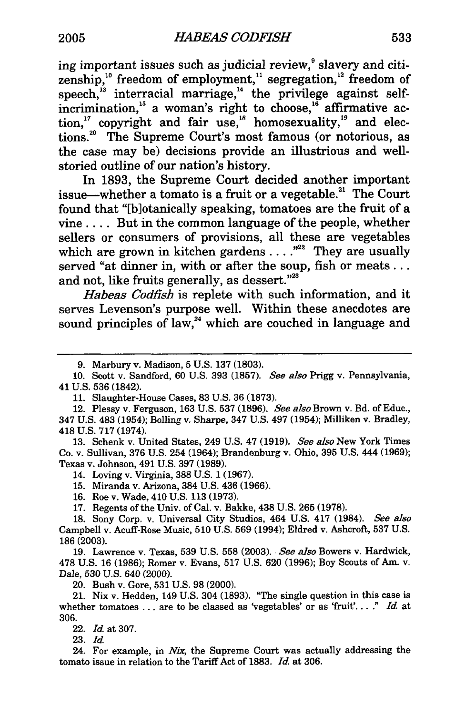ing important issues such as judicial review, $\degree$  slavery and citizenship, $^{10}$  freedom of employment, $^{11}$  segregation, $^{12}$  freedom of speech,<sup>13</sup> interracial marriage,<sup>14</sup> the privilege against selfincrimination,<sup>15</sup> a woman's right to choose,<sup>16</sup> affirmative action," copyright and fair use, $^{18}$  homosexuality, $^{19}$  and elections.2 ' The Supreme Court's most famous (or notorious, as the case may be) decisions provide an illustrious and wellstoried outline of our nation's history.

In 1893, the Supreme Court decided another important issue—whether a tomato is a fruit or a vegetable.<sup>21</sup> The Court found that "[blotanically speaking, tomatoes are the fruit of a vine .... But in the common language of the people, whether sellers or consumers of provisions, all these are vegetables which are grown in kitchen gardens . . . .<sup>22</sup> They are usually served "at dinner in, with or after the soup, fish or meats... and not, like fruits generally, as dessert." $23$ 

*Habeas Codfish* is replete with such information, and it serves Levenson's purpose well. Within these anecdotes are sound principles of law, $^{24}$  which are couched in language and

13. Schenk v. United States, 249 U.S. 47 (1919). *See also* New York Times Co. v. Sullivan, 376 U.S. 254 (1964); Brandenburg v. Ohio, 395 U.S. 444 (1969); Texas v. Johnson, 491 U.S. 397 (1989).

14. Loving v. Virginia, 388 U.S. 1 (1967).

15. Miranda v. Arizona, 384 U.S. 436 (1966).

16. Roe v. Wade, 410 U.S. 113 (1973).

17. Regents of the Univ. of Cal. v. Bakke, 438 U.S. **265** (1978).

**19.** Lawrence v. Texas, 539 U.S. 558 (2003). *See also* Bowers v. Hardwick, 478 U.S. 16 (1986); Romer v. Evans, 517 U.S. 620 (1996); Boy Scouts of Am. v. Dale, 530 U.S. 640 (2000).

20. Bush v. Gore, 531 U.S. 98 (2000).

21. Nix v. Hedden, 149 U.S. 304 (1893). "The single question in this case is whether tomatoes ... are to be classed as 'vegetables' or as 'fruit'...." *Id.* at 306.

22. Id. at 307.

23. *Id.*

24. For example, in *Nix*, the Supreme Court was actually addressing the tomato issue in relation to the Tariff Act of 1883. *Id.* at 306.

<sup>9.</sup> Marbury v. Madison, 5 U.S. 137 (1803).

<sup>10.</sup> Scott v. Sandford, 60 U.S. 393 (1857). *See also* Prigg v. Pennsylvania, 41 U.S. 536 (1842).

<sup>11.</sup> Slaughter-House Cases, 83 U.S. 36 (1873).

<sup>12.</sup> Plessy v. Ferguson, 163 U.S. 537 (1896). *See also* Brown v. Bd. of Educ., 347 U.S. 483 (1954); Bolling v. Sharpe, 347 U.S. 497 (1954); Milliken v. Bradley, 418 U.S. 717 (1974).

<sup>18.</sup> Sony Corp. v. Universal City Studios, 464 U.S. 417 (1984). *See also* Campbell v. Acuff-Rose Music, 510 U.S. 569 (1994); Eldred v. Ashcroft, 537 U.S. 186 (2003).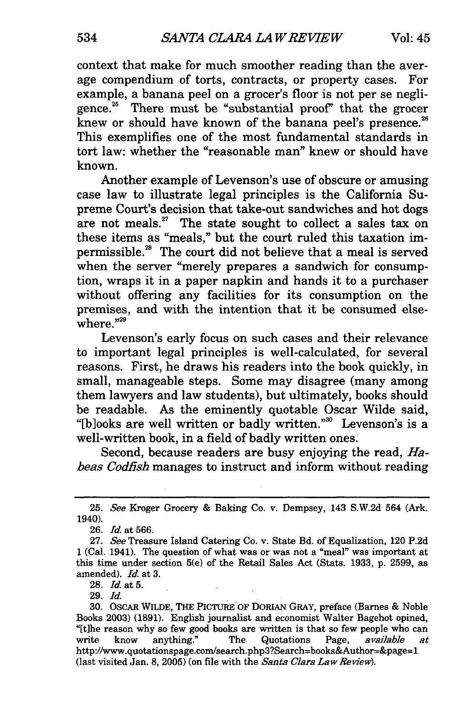context that make for much smoother reading than the average compendium of torts, contracts, or property cases. For example, a banana peel on a grocer's floor is not per se negligence.25 There must be "substantial proof' that the grocer knew or should have known of the banana peel's presence.<sup>26</sup> This exemplifies one of the most fundamental standards in tort law: whether the "reasonable man" knew or should have known.

Another example of Levenson's use of obscure or amusing case law to illustrate legal principles is the California Supreme Court's decision that take-out sandwiches and hot dogs are not meals. $27$  The state sought to collect a sales tax on these items as "meals," but the court ruled this taxation impermissible.28 The court did not believe that a meal is served when the server "merely prepares a sandwich for consumption, wraps it in a paper napkin and hands it to a purchaser without offering any facilities for its consumption on the premises, and with the intention that it be consumed elsewhere."29

Levenson's early focus on such cases and their relevance to important legal principles is well-calculated, for several reasons. First, he draws his readers into the book quickly, in small, manageable steps. Some may disagree (many among them lawyers and law students), but ultimately, books should be readable. As the eminently quotable Oscar Wilde said, "[b]ooks are well written or badly written."<sup>30</sup> Levenson's is a well-written book, in a field of badly written ones.

Second, because readers are busy enjoying the read, *Habeas Codfish* manages to instruct and inform without reading

28. Id. at 5.

29. Id.

<sup>25.</sup> *See* Kroger Grocery & Baking Co. v. Dempsey, 143 S.W.2d 564 (Ark. 1940).

<sup>26.</sup> Id. at 566.

<sup>27.</sup> See Treasure Island Catering Co. v. State Bd. of Equalization, 120 P.2d 1 (Cal. 1941). The question of what was or was not a "meal" was important at this time under section 5(e) of the Retail Sales Act (Stats. 1933, p. 2599, as amended). *Id.* at 3.

<sup>30.</sup> OSCAR WILDE, THE PICTURE'OF DORIAN GRAY, preface (Barnes & Noble Books 2003) (1891). English journalist and economist Walter Bagehot opined, "[t]he reason why so few good books are written is that so few people who can write know anything." The Quotations Page, available at http://www.quotationspage.com/search.php3?Search=books&Author=&page=l (last visited Jan. 8, 2005) (on file with the *Santa Clara Law Review*).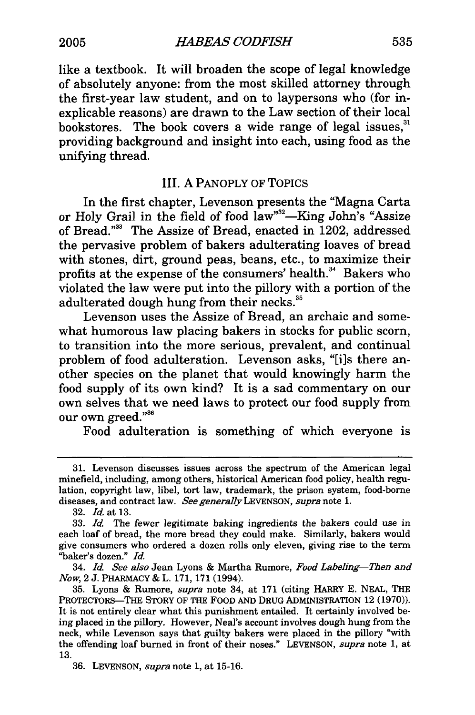like a textbook. It will broaden the scope of legal knowledge of absolutely anyone: from the most skilled attorney through the first-year law student, and on to laypersons who (for inexplicable reasons) are drawn to the Law section of their local bookstores. The book covers a wide range of legal issues, $31$ providing background and insight into each, using food as the unifying thread.

# III. A PANOPLY OF TOPICS

In the first chapter, Levenson presents the "Magna Carta or Holy Grail in the field of food law"<sup>32</sup>—King John's "Assize of Bread."33 The Assize of Bread, enacted in 1202, addressed the pervasive problem of bakers adulterating loaves of bread with stones, dirt, ground peas, beans, etc., to maximize their profits at the expense of the consumers' health.<sup>34</sup> Bakers who violated the law were put into the pillory with a portion of the adulterated dough hung from their necks.<sup>35</sup>

Levenson uses the Assize of Bread, an archaic and somewhat humorous law placing bakers in stocks for public scorn, to transition into the more serious, prevalent, and continual problem of food adulteration. Levenson asks, "[i]s there another species on the planet that would knowingly harm the food supply of its own kind? It is a sad commentary on our own selves that we need laws to protect our food supply from our own greed."<sup>36</sup>

Food adulteration is something of which everyone is

<sup>31.</sup> Levenson discusses issues across the spectrum of the American legal minefield, including, among others, historical American food policy, health regulation, copyright law, libel, tort law, trademark, the prison system, food-borne diseases, and contract law. *See generally* LEVENSON, *supra* note 1.

<sup>32.</sup> *Id.* at 13.

**<sup>33.</sup>** *Id* The fewer legitimate baking ingredients the bakers could use in each loaf of bread, the more bread they could make. Similarly, bakers would give consumers who ordered a dozen rolls only eleven, giving rise to the term "baker's dozen." *Id.*

<sup>34.</sup> *Id. See also* Jean Lyons & Martha Rumore, *Food Labeling-Then and Now,* 2 J. PHARMACY & L. 171, 171 (1994).

<sup>35.</sup> Lyons & Rumore, *supra* note 34, at 171 (citing HARRY E. NEAL, THE PROTECTORS-THE STORY OF THE FOOD **AND** DRUG ADMINISTRATION 12 (1970)). It is not entirely clear what this punishment entailed. It certainly involved being placed in the pillory. However, Neal's account involves dough hung from the neck, while Levenson says that guilty bakers were placed in the pillory "with the offending loaf burned in front of their noses." LEVENSON, *supra* note 1, at 13.

<sup>36.</sup> LEVENSON, *supra* note 1, at 15-16.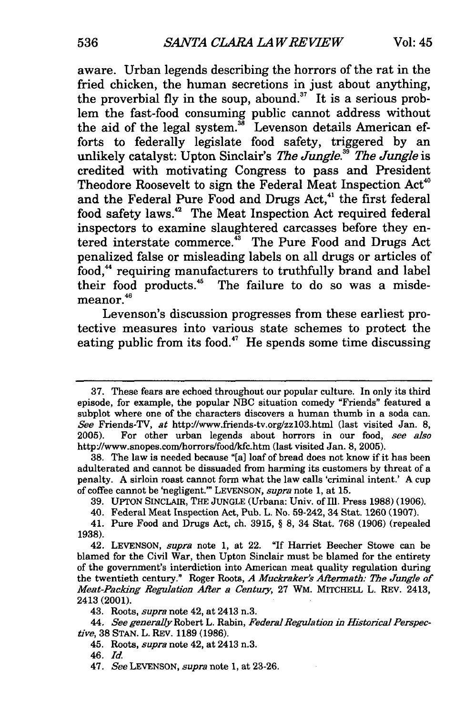aware. Urban legends describing the horrors of the rat in the fried chicken, the human secretions in just about anything, the proverbial fly in the soup, abound.<sup>37</sup> It is a serious problem the fast-food consuming public cannot address without the aid of the legal system.<sup>38</sup> Levenson details American efforts to federally legislate food safety, triggered by an unlikely catalyst: Upton Sinclair's *The Jungle.39 The Jungle* is credited with motivating Congress to pass and President Theodore Roosevelt to sign the Federal Meat Inspection Act<sup>40</sup> and the Federal Pure Food and Drugs Act,<sup>41</sup> the first federal food safety laws.<sup>42</sup> The Meat Inspection Act required federal inspectors to examine slaughtered carcasses before they entered interstate commerce.'3 The Pure Food and Drugs Act penalized false or misleading labels on all drugs or articles of food,<sup>44</sup> requiring manufacturers to truthfully brand and label their food products.<sup>45</sup> The failure to do so was a misdemeanor.<sup>46</sup>

Levenson's discussion progresses from these earliest protective measures into various state schemes to protect the eating public from its food.<sup>47</sup> He spends some time discussing

**<sup>37.</sup>** These fears are echoed throughout our popular culture. In only its third episode, for example, the popular **NBC** situation comedy "Friends" featured a subplot where one of the characters discovers a human thumb in a soda can. *See* Friends-TV, at http://www.friends-tv.org/zzl03.html (last visited Jan. **8, 2005).** For other urban legends about horrors in our food, *see also* http'//www.snopes.com/horrors/food/kfc.htm (last visited Jan. **8, 2005).**

**<sup>38.</sup>** The law is needed because **"[a]** loaf of bread does not know if it has been adulterated and cannot be dissuaded from harming its customers **by** threat of a penalty. **A** sirloin roast cannot form what the law calls 'criminal intent.' **A cup** of coffee cannot be 'negligent.'" **LEVENSON,** *supra* note **1,** at **15.**

**<sup>39.</sup> UPTON** SINCLAIR, THE **JUNGLE** (Urbana: Univ. of Ill. Press **1988) (1906).**

<sup>40.</sup> Federal Meat Inspection Act, Pub. L. No. 59-242, 34 Stat. **1260 (1907).**

<sup>41.</sup> Pure Food and Drugs Act, ch. **3915,** § **8,** 34 Stat. **768 (1906)** (repealed **1938).**

<sup>42.</sup> **LEVENSON,** *supra* note **1,** at 22. "If Harriet Beecher Stowe can be blamed for the Civil War, then Upton Sinclair must be blamed for the entirety of the government's interdiction into American meat quality regulation during the twentieth century." Roger Roots, *A Muckraker's Aftermath: The Jungle of Meat-Packing Regulation After a Century,* 27 WM. MITCHELL L. REV. 2413, 2413 (2001).

<sup>43.</sup> Roots, *supra* note 42, at 2413 n.3.

<sup>44.</sup> *See generally* Robert L. Rabin, *Federal Regulation in Historical Perspective,* **38 STAN.** L. REV. **1189 (1986).**

<sup>45.</sup> Roots, *supra* note 42, at 2413 n.3.

<sup>46.</sup> *Id.*

<sup>47.</sup> *See* LEVENSON, *supra* note 1, at 23-26.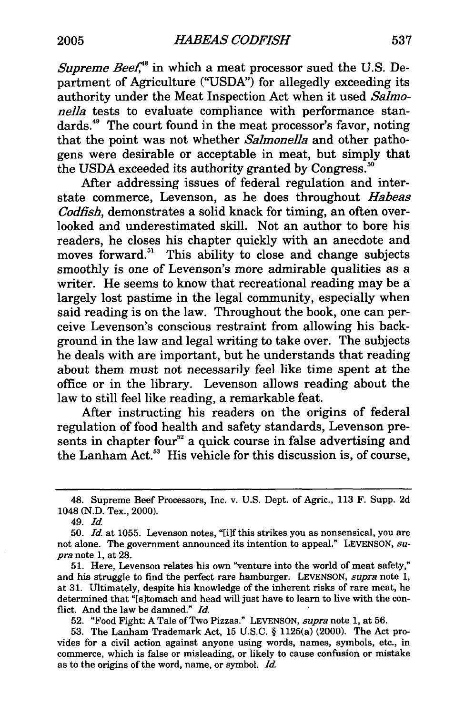*Supreme Beef*<sup>48</sup> in which a meat processor sued the U.S. Department of Agriculture ("USDA") for allegedly exceeding its authority under the Meat Inspection Act when it used *Salmonella* tests to evaluate compliance with performance standards.<sup>49</sup> The court found in the meat processor's favor, noting that the point was not whether *Salmonella* and other pathogens were desirable or acceptable in meat, but simply that the USDA exceeded its authority granted by Congress.'

After addressing issues of federal regulation and interstate commerce, Levenson, as he does throughout *Habeas Codfish,* demonstrates a solid knack for timing, an often overlooked and underestimated skill. Not an author to bore his readers, he closes his chapter quickly with an anecdote and moves forward.<sup>51</sup> This ability to close and change subjects smoothly is one of Levenson's more admirable qualities as a writer. He seems to know that recreational reading may be a largely lost pastime in the legal community, especially when said reading is on the law. Throughout the book, one can perceive Levenson's conscious restraint from allowing his background in the law and legal writing to take over. The subjects he deals with are important, but he understands that reading about them must not necessarily feel like time spent at the office or in the library. Levenson allows reading about the law to still feel like reading, a remarkable feat.

After instructing his readers on the origins of federal regulation of food health and safety standards, Levenson presents in chapter four<sup>52</sup> a quick course in false advertising and the Lanham Act.<sup>53</sup> His vehicle for this discussion is, of course,

<sup>48.</sup> Supreme Beef Processors, Inc. v. U.S. Dept. of Agric., 113 F. Supp. 2d 1048 (N.D. Tex., 2000).

**<sup>49.</sup>** *Id.*

<sup>50.</sup> *Id.* at 1055. Levenson notes, "[i]f this strikes you as nonsensical, you are not alone. The government announced its intention to appeal." LEVENSON, *supra* note 1, at 28.

<sup>51.</sup> Here, Levenson relates his own "venture into the world of meat safety," and his struggle to find the perfect rare hamburger. LEVENSON, *supra* note 1, at 31. Ultimately, despite his knowledge of the inherent risks of rare meat, he determined that "[s]tomach and head will just have to learn to live with the conflict. And the law be damned." *Id.*

<sup>52. &</sup>quot;Food Fight: A Tale of Two Pizzas." LEVENSON, *supra* note 1, at 56.

<sup>53.</sup> The Lanham Trademark Act, 15 U.S.C. § 1125(a) (2000). The Act provides for a civil action against anyone using words, names, symbols, etc., in commerce, which is false or misleading, or likely to cause confusion or mistake as to the origins of the word, name, or symbol. *Id.*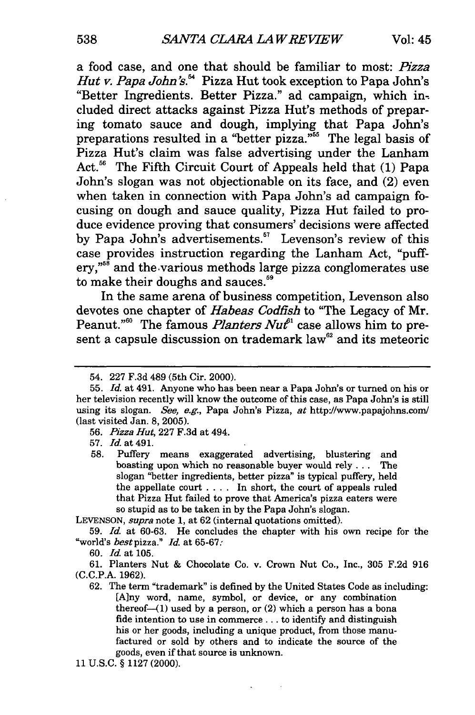a food case, and one that should be familiar to most: Pizza *Hut v. Papa John's.*<sup>54</sup> Pizza Hut took exception to Papa John's "Better Ingredients. Better Pizza." ad campaign, which included direct attacks against Pizza Hut's methods of preparing tomato sauce and dough, implying that Papa John's preparations resulted in a "better pizza."<sup>55</sup> The legal basis of Pizza Hut's claim was false advertising under the Lanham Act.<sup>56</sup> The Fifth Circuit Court of Appeals held that (1) Papa John's slogan was not objectionable on its face, and (2) even when taken in connection with Papa John's ad campaign focusing on dough and sauce quality, Pizza Hut failed to produce evidence proving that consumers' decisions were affected by Papa John's advertisements.<sup>57</sup> Levenson's review of this case provides instruction regarding the Lanham Act, "puffery,"58 and the various methods large pizza conglomerates use to make their doughs and sauces.<sup>59</sup>

In the same arena of business competition, Levenson also devotes one chapter of *Habeas Codfish* to "The Legacy of Mr. Peanut."<sup>60</sup> The famous *Planters Nut*<sup>61</sup> case allows him to present a capsule discussion on trademark law<sup>62</sup> and its meteoric

56. *Pizza Hut,* 227 F.3d at 494.

57. Id. at 491.

58. Puffery means exaggerated advertising, blustering and boasting upon which no reasonable buyer would rely **...** The slogan "better ingredients, better pizza" is typical puffery, held the appellate court .... In short, the court of appeals ruled that Pizza Hut failed to prove that America's pizza eaters were so stupid as to be taken in by the Papa John's slogan.

LEVENSON, *supra* note 1, at 62 (internal quotations omitted).

59. *Id.* at 60-63. He concludes the chapter with his own recipe for the "world's *bestpizza." Id.* at 65-67:

60. Id. at 105.

61. Planters Nut & Chocolate Co. v. Crown Nut Co., Inc., 305 F.2d 916 (C.C.P.A. 1962).

62. The term "trademark" is defined **by** the United States Code as including: [Any word, name, symbol, or device, or any combination thereof- $(1)$  used by a person, or  $(2)$  which a person has a bona fide intention to use in commerce... to identify and distinguish his or her goods, including a unique product, from those manufactured or sold by others and to indicate the source of the goods, even if that source is unknown.

11 U.S.C. § 1127 (2000).

<sup>54. 227</sup> F.3d 489 (5th Cir. 2000).

<sup>55.</sup> *Id.* at 491. Anyone who has been near a Papa John's or turned on his or her television recently will know the outcome of this case, as Papa John's is still using its slogan. *See,* e.g., Papa John's Pizza, at http://www.papajohns.com/ (last visited Jan. 8, 2005).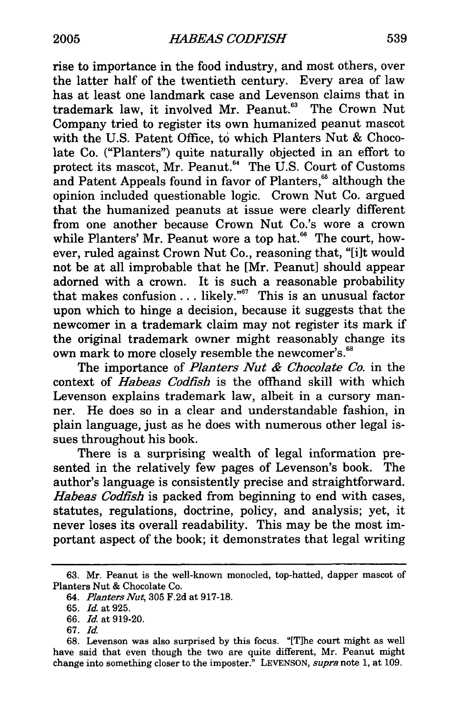rise to importance in the food industry, and most others, over the latter half of the twentieth century. Every area of law has at least one landmark case and Levenson claims that in trademark law, it involved Mr. Peanut.<sup>63</sup> The Crown Nut Company tried to register its own humanized peanut mascot with the U.S. Patent Office, to which Planters Nut & Chocolate Co. ("Planters") quite naturally objected in an effort to protect its mascot, Mr. Peanut.<sup>64</sup> The U.S. Court of Customs and Patent Appeals found in favor of Planters,<sup>66</sup> although the opinion included questionable logic. Crown Nut Co. argued that the humanized peanuts at issue were clearly different from one another because Crown Nut Co.'s wore a crown while Planters' Mr. Peanut wore a top hat. $66$  The court, however, ruled against Crown Nut Co., reasoning that, "[i]t would not be at all improbable that he [Mr. Peanut] should appear adorned with a crown. It is such a reasonable probability that makes confusion **...** likely."67 This is an unusual factor upon which to hinge a decision, because it suggests that the newcomer in a trademark claim may not register its mark if the original trademark owner might reasonably change its own mark to more closely resemble the newcomer's.<sup>68</sup>

The importance of *Planters Nut & Chocolate Co.* in the context of *Habeas Codfish* is the offhand skill with which Levenson explains trademark law, albeit in a cursory manner. He does so in a clear and understandable fashion, in plain language, just as he does with numerous other legal issues throughout his book.

There is a surprising wealth of legal information presented in the relatively few pages of Levenson's book. The author's language is consistently precise and straightforward. *Habeas Codfish* is packed from beginning to end with cases, statutes, regulations, doctrine, policy, and analysis; yet, it never loses its overall readability. This may be the most important aspect of the book; it demonstrates that legal writing

<sup>63.</sup> Mr. Peanut is the well-known monocled, top-hatted, dapper mascot of Planters Nut & Chocolate Co.

*<sup>64.</sup> Planters Nut,* 305 F.2d at 917-18.

<sup>65.</sup> *Id.* at 925.

<sup>66.</sup> *Id.* at 919-20.

<sup>67.</sup> Id.

<sup>68.</sup> Levenson was also surprised by this focus. "[Tihe court might as well have said that even though the two are quite different, Mr. Peanut might change into something closer to the imposter." LEVENSON, *supra* note 1, at 109.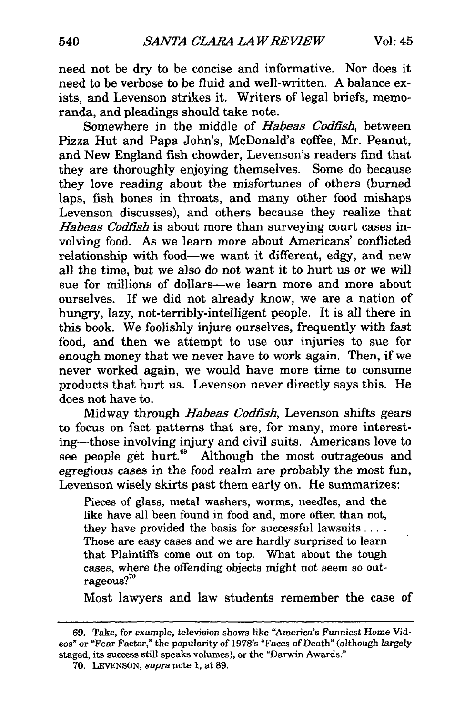need not be dry to be concise and informative. Nor does it need to be verbose to be fluid and well-written. A balance exists, and Levenson strikes it. Writers of legal briefs, memoranda, and pleadings should take note.

Somewhere in the middle of *Habeas Codfish,* between Pizza Hut and Papa John's, McDonald's coffee, Mr. Peanut, and New England fish chowder, Levenson's readers find that they are thoroughly enjoying themselves. Some do because they love reading about the misfortunes of others (burned laps, fish bones in throats, and many other food mishaps Levenson discusses), and others because they realize that *Habeas Codfish* is about more than surveying court cases involving food. As we learn more about Americans' conflicted relationship with food-we want it different, edgy, and new all the time, but we also do not want it to hurt us or we will sue for millions of dollars-we learn more and more about ourselves. If we did not already know, we are a nation of hungry, lazy, not-terribly-intelligent people. It is all there in this book. We foolishly injure ourselves, frequently with fast food, and then we attempt to use our injuries to sue for enough money that we never have to work again. Then, if we never worked again, we would have more time to consume products that hurt us. Levenson never directly says this. He does not have to.

Midway through *Habeas Codfish,* Levenson shifts gears to focus on fact patterns that are, for many, more interesting-those involving injury and civil suits. Americans love to see people get hurt.<sup>69</sup> Although the most outrageous and egregious cases in the food realm are probably the most fun, Levenson wisely skirts past them early on. He summarizes:

Pieces of glass, metal washers, worms, needles, and the like have all been found in food and, more often than not, they have provided the basis for successful lawsuits.... Those are easy cases and we are hardly surprised to learn that Plaintiffs come out on top. What about the tough cases, where the offending objects might not seem so outrageous?"

Most lawyers and law students remember the case of

**<sup>69.</sup>** Take, for example, television shows like "America's Funniest Home Videos" or "Fear Factor," the popularity of 1978's "Faces of Death" (although largely staged, its success still speaks volumes), or the "Darwin Awards."

<sup>70.</sup> LEVENSON, *supra* note **1,** at 89.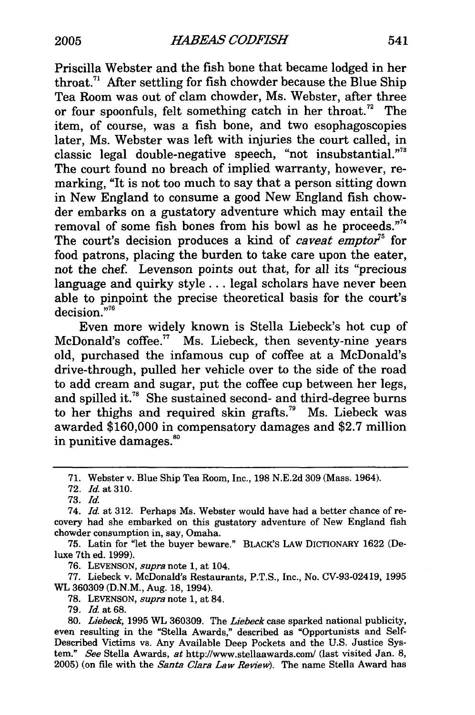Priscilla Webster and the fish bone that became lodged in her throat.<sup>71</sup> After settling for fish chowder because the Blue Ship Tea Room was out of clam chowder, Ms. Webster, after three or four spoonfuls, felt something catch in her throat.<sup>72</sup> The item, of course, was a fish bone, and two esophagoscopies later, Ms. Webster was left with injuries the court called, in classic legal double-negative speech, "not insubstantial."73 The court found no breach of implied warranty, however, remarking, "It is not too much to say that a person sitting down in New England to consume a good New England fish chowder embarks on a gustatory adventure which may entail the removal of some fish bones from his bowl as he proceeds."<sup>14</sup> The court's decision produces a kind of *caveat emptor*<sup>75</sup> for food patrons, placing the burden to take care upon the eater, not the chef. Levenson points out that, for all its "precious language and quirky style... legal scholars have never been able to pinpoint the precise theoretical basis for the court's decision."<sup>76</sup>

Even more widely known is Stella Liebeck's hot cup of McDonald's coffee.<sup>77</sup> Ms. Liebeck, then seventy-nine years old, purchased the infamous cup of coffee at a McDonald's drive-through, pulled her vehicle over to the side of the road to add cream and sugar, put the coffee cup between her legs, and spilled it.<sup>78</sup> She sustained second- and third-degree burns to her thighs and required skin grafts.<sup>79</sup> Ms. Liebeck was awarded \$160,000 in compensatory damages and \$2.7 million in punitive damages.<sup>80</sup>

75. Latin for "let the buyer beware." BLACK'S LAW DICTIONARY 1622 (Deluxe 7th ed. 1999).

76. LEVENSON, *supra* note 1, at 104.

77. Liebeck v. McDonald's Restaurants, P.T.S., Inc., No. CV-93-02419, 1995 WL 360309 (D.N.M., Aug. 18, 1994).

**78.** LEVENSON, *supra* note **1,** at 84.

79. **Id.** at 68.

<sup>71.</sup> Webster v. Blue Ship Tea Room, Inc., 198 N.E.2d 309 (Mass. 1964).

<sup>72.</sup> *Id.* at 310.

<sup>73.</sup> *Id.*

<sup>74.</sup> *Id.* at 312. Perhaps Ms. Webster would have had a better chance of recovery had she embarked on this gustatory adventure of New England fish chowder consumption in, say, Omaha.

<sup>80.</sup> *Liebeck,* 1995 WL 360309. The *Liebeck* case sparked national publicity, even resulting in the "Stella Awards," described as "Opportunists and Self-Described Victims vs. Any Available Deep Pockets and the U.S. Justice System." *See* Stella Awards, at http://www.stellaawards.com/ (last visited Jan. 8, **2005)** (on file with the *Santa Clara Law Review).* The name Stella Award has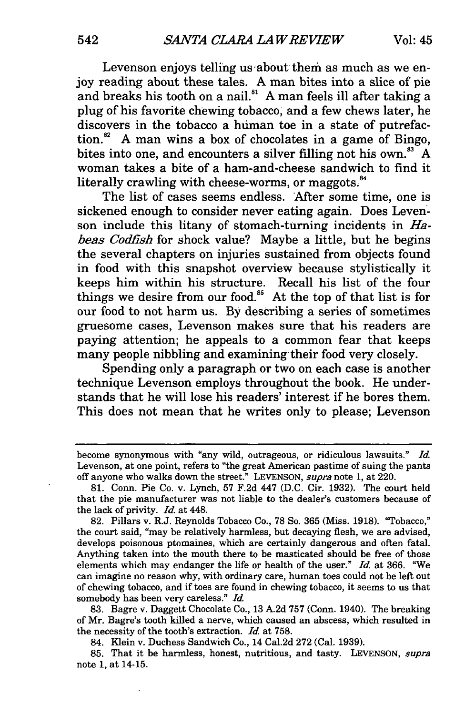Levenson enjoys telling us about them as much as we enjoy reading about these tales. A man bites into a slice of pie and breaks his tooth on a nail.<sup>81</sup> A man feels ill after taking a plug of his favorite chewing tobacco, and a few chews later, he discovers in the tobacco a human toe in a state of putrefaction.<sup>82</sup> A man wins a box of chocolates in a game of Bingo, bites into one, and encounters a silver filling not his own. $83 A$ woman takes a bite of a ham-and-cheese sandwich to find it literally crawling with cheese-worms, or maggots. $34$ 

The list of cases seems endless. After some time, one is sickened enough to consider never eating again. Does Levenson include this litany of stomach-turning incidents in *Habeas Codfish* for shock value? Maybe a little, but he begins the several chapters on injuries sustained from objects found in food with this snapshot overview because stylistically it keeps him within his structure. Recall his list of the four things we desire from our food.<sup>85</sup> At the top of that list is for our food to not harm us. By describing a series of sometimes gruesome cases, Levenson makes sure that his readers are paying attention; he appeals to a common fear that keeps many people nibbling and examining their food very closely.

Spending only a paragraph or two on each case is another technique Levenson employs throughout the book. He understands that he will lose his readers' interest if he bores them. This does not mean that he writes only to please; Levenson

83. Bagre v. Daggett Chocolate Co., 13 A.2d 757 (Conn. 1940). The breaking of Mr. Bagre's tooth killed a nerve, which caused an abscess, which resulted in the necessity of the tooth's extraction. *Id.* at 758.

84. Klein v. Duchess Sandwich Co., 14 Cal.2d 272 (Cal. 1939).

85. That it be harmless, honest, nutritious, and tasty. LEVENSON, *supra* note 1, at 14-15.

become synonymous with "any wild, outrageous, or ridiculous lawsuits." *Id.* Levenson, at one point, refers to "the great American pastime of suing the pants off anyone who walks down the street." LEVENSON, *supra note* 1, at 220.

<sup>81.</sup> Conn. Pie Co. v. Lynch, 57 F.2d 447 (D.C. Cir. 1932). The court held that the pie manufacturer was not liable to the dealer's customers because of the lack of privity. *Id.* at 448.

<sup>82.</sup> Pillars v. R.J. Reynolds Tobacco Co., 78 So. 365 (Miss. 1918). "Tobacco," the court said, "may be relatively harmless, but decaying flesh, we are advised, develops poisonous ptomaines, which are certainly dangerous and often fatal. Anything taken into the mouth there to be masticated should be free of those elements which may endanger the life or health of the user." *Id.* at 366. "We can imagine no reason why, with ordinary care, human toes could not be left out of chewing tobacco, and if toes are found in chewing tobacco, it seems to us that somebody has been very careless." *Id.*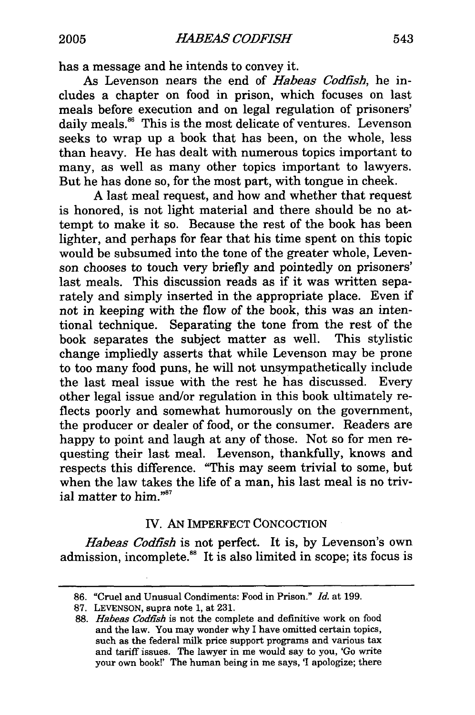has a message and he intends to convey it.

As Levenson nears the end of *Habeas Codfish,* he includes a chapter on food in prison, which focuses on last meals before execution and on legal regulation of prisoners' daily meals.<sup>86</sup> This is the most delicate of ventures. Levenson seeks to wrap up a book that has been, on the whole, less than heavy. He has dealt with numerous topics important to many, as well as many other topics important to lawyers. But he has done so, for the most part, with tongue in cheek.

A last meal request, and how and whether that request is honored, is not light material and there should be no attempt to make it so. Because the rest of the book has been lighter, and perhaps for fear that his time spent on this topic would be subsumed into the tone of the greater whole, Levenson chooses to touch very briefly and pointedly on prisoners' last meals. This discussion reads as if it was written separately and simply inserted in the appropriate place. Even if not in keeping with the flow of the book, this was an intentional technique. Separating the tone from the rest of the book separates the subject matter as well. This stylistic change impliedly asserts that while Levenson may be prone to too many food puns, he will not unsympathetically include the last meal issue with the rest he has discussed. Every other legal issue and/or regulation in this book ultimately reflects poorly and somewhat humorously on the government, the producer or dealer of food, or the consumer. Readers are happy to point and laugh at any of those. Not so for men requesting their last meal. Levenson, thankfully, knows and respects this difference. "This may seem trivial to some, but when the law takes the life of a man, his last meal is no trivial matter to him."<sup>87</sup>

# IV. AN IMPERFECT CONCOCTION

*Habeas Codfish* is not perfect. It is, by Levenson's own admission, incomplete.<sup>88</sup> It is also limited in scope; its focus is

<sup>86. &</sup>quot;Cruel and Unusual Condiments: Food in Prison." *Id.* at 199.

<sup>87.</sup> LEVENSON, supra note 1, at 231.

<sup>88.</sup> *Habeas Codfish* is not the complete and definitive work on food and the law. You may wonder why I have omitted certain topics, such as the federal milk price support programs and various tax and tariff issues. The lawyer in me would say to you, 'Go write your own book!' The human being in me says, 'I apologize; there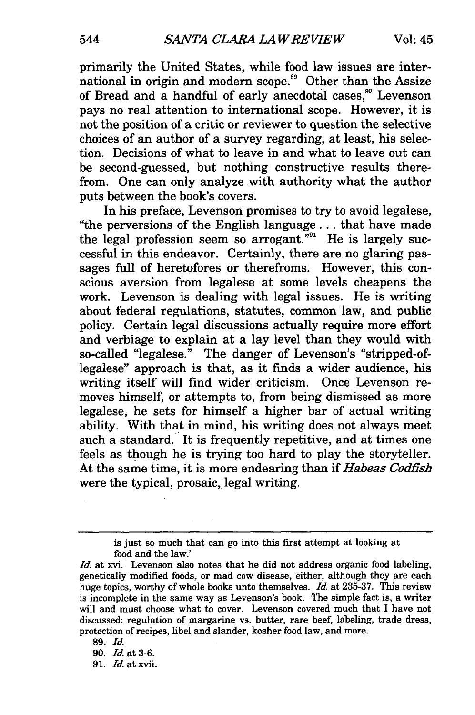primarily the United States, while food law issues are international in origin and modern scope.<sup>89</sup> Other than the Assize of Bread and a handful of early anecdotal cases,<sup>30</sup> Levenson pays no real attention to international scope. However, it is not the position of a critic or reviewer to question the selective choices of an author of a survey regarding, at least, his selection. Decisions of what to leave in and what to leave out can be second-guessed, but nothing constructive results therefrom. One can only analyze with authority what the author puts between the book's covers.

In his preface, Levenson promises to try to avoid legalese, "the perversions of the English language... that have made the legal profession seem so arrogant."<sup>91</sup> He is largely successful in this endeavor. Certainly, there are no glaring passages full of heretofores or therefroms. However, this conscious aversion from legalese at some levels cheapens the work. Levenson is dealing with legal issues. He is writing about federal regulations, statutes, common law, and public policy. Certain legal discussions actually require more effort and verbiage to explain at a lay level than they would with so-called "legalese." The danger of Levenson's "stripped-oflegalese" approach is that, as it finds a wider audience, his writing itself will find wider criticism. Once Levenson removes himself, or attempts to, from being dismissed as more legalese, he sets for himself a higher bar of actual writing ability. With that in mind, his writing does not always meet such a standard. It is frequently repetitive, and at times one feels as though he is trying too hard to play the storyteller. At the same time, it is more endearing than if *Habeas Codfish* were the typical, prosaic, legal writing.

*91. Id.* at xvii.

is just so much that can go into this first attempt at looking at food and the law.'

*Id.* at xvi. Levenson also notes that he did not address organic food labeling, genetically modified foods, or mad cow disease, either, although they are each huge topics, worthy of whole books unto themselves. *Id.* at 235-37. This review is incomplete in the same way as Levenson's book. The simple fact is, a writer will and must choose what to cover. Levenson covered much that I have not discussed: regulation of margarine vs. butter, rare beef, labeling, trade dress, protection of recipes, libel and slander, kosher food law, and more.

<sup>89.</sup> *Id.*

<sup>90.</sup> *Id.* at 3-6.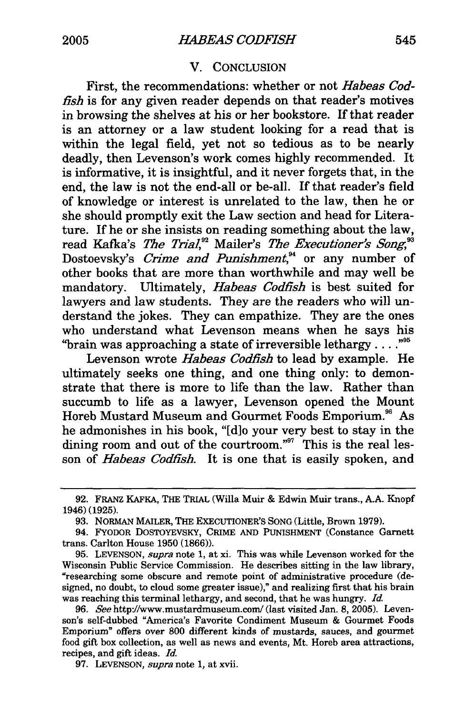# V. CONCLUSION

First, the recommendations: whether or not *Habeas Codfish* is for any given reader depends on that reader's motives in browsing the shelves at his or her bookstore. If that reader is an attorney or a law student looking for a read that is within the legal field, yet not so tedious as to be nearly deadly, then Levenson's work comes highly recommended. It is informative, it is insightful, and it never forgets that, in the end, the law is not the end-all or be-all. If that reader's field of knowledge or interest is unrelated to the law, then he or she should promptly exit the Law section and head for Literature. If he or she insists on reading something about the law, read Kafka's *The Trial*,<sup>22</sup> Mailer's *The Executioner's Song*,<sup>33</sup> Dostoevsky's *Crime and Punishment*,<sup>34</sup> or any number of other books that are more than worthwhile and may well be mandatory. Ultimately, *Habeas Codfish* is best suited for lawyers and law students. They are the readers who will understand the jokes. They can empathize. They are the ones who understand what Levenson means when he says his "brain was approaching a state of irreversible lethargy. **.. .95**

Levenson wrote *Habeas Codfish* to lead by example. He ultimately seeks one thing, and one thing only: to demonstrate that there is more to life than the law. Rather than succumb to life as a lawyer, Levenson opened the Mount Horeb Mustard Museum and Gourmet Foods Emporium.<sup>96</sup> As he admonishes in his book, "Id]o your very best to stay in the dining room and out of the courtroom."<sup>97</sup> This is the real lesson of *Habeas Codfish.* It is one that is easily spoken, and

**<sup>92.</sup>** FRANZ KAFKA, THE TRIAL (Willa Muir & Edwin Muir trans., A.A. Knopf 1946) (1925).

<sup>93.</sup> NORMAN MAILER, THE EXECUTIONER'S SONG (Little, Brown 1979).

<sup>94.</sup> FYODOR DOSTOYEVsKY, CRIME AND PUNISHMENT (Constance Garnett trans. Carlton House 1950 (1866)).

<sup>95.</sup> LEVENSON, *supra* note 1, at xi. This was while Levenson worked for the Wisconsin Public Service Commission. He describes sitting in the law library, "researching some obscure and remote point of administrative procedure (designed, no doubt, to cloud some greater issue)," and realizing first that his brain was reaching this terminal lethargy, and second, that he was hungry. *Id.*

<sup>96.</sup> *See* http://www.mustardmuseum.com/ (last visited Jan. 8, 2005). Levenson's self-dubbed "America's Favorite Condiment Museum & Gourmet Foods Emporium" offers over **800** different kinds of mustards, sauces, and gourmet food gift box collection, as well as news and events, Mt. Horeb area attractions, recipes, and gift ideas. *Id.*

**<sup>97.</sup>** LEVENSON, *supra* note 1, at xvii.